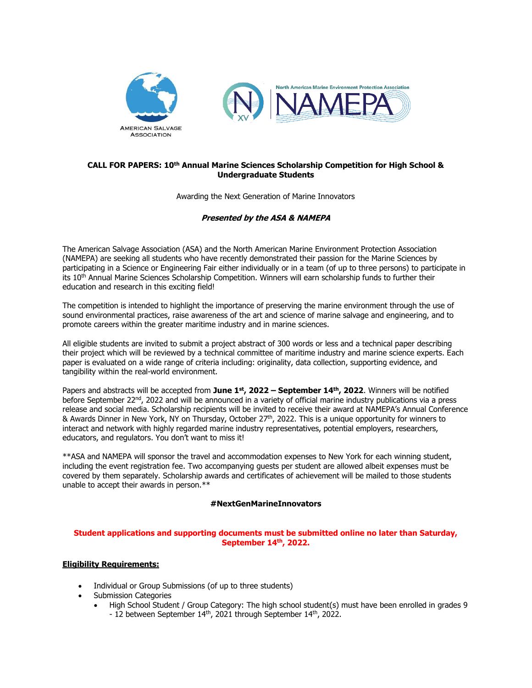

# **CALL FOR PAPERS: 10th Annual Marine Sciences Scholarship Competition for High School & Undergraduate Students**

Awarding the Next Generation of Marine Innovators

# **Presented by the ASA & NAMEPA**

The American Salvage Association (ASA) and the North American Marine Environment Protection Association (NAMEPA) are seeking all students who have recently demonstrated their passion for the Marine Sciences by participating in a Science or Engineering Fair either individually or in a team (of up to three persons) to participate in its 10<sup>th</sup> Annual Marine Sciences Scholarship Competition. Winners will earn scholarship funds to further their education and research in this exciting field!

The competition is intended to highlight the importance of preserving the marine environment through the use of sound environmental practices, raise awareness of the art and science of marine salvage and engineering, and to promote careers within the greater maritime industry and in marine sciences.

All eligible students are invited to submit a project abstract of 300 words or less and a technical paper describing their project which will be reviewed by a technical committee of maritime industry and marine science experts. Each paper is evaluated on a wide range of criteria including: originality, data collection, supporting evidence, and tangibility within the real-world environment.

Papers and abstracts will be accepted from **June 1st, 2022 – September 14th, 2022**. Winners will be notified before September 22<sup>nd</sup>, 2022 and will be announced in a variety of official marine industry publications via a press release and social media. Scholarship recipients will be invited to receive their award at NAMEPA's Annual Conference & Awards Dinner in New York, NY on Thursday, October 27 th, 2022. This is a unique opportunity for winners to interact and network with highly regarded marine industry representatives, potential employers, researchers, educators, and regulators. You don't want to miss it!

\*\*ASA and NAMEPA will sponsor the travel and accommodation expenses to New York for each winning student, including the event registration fee. Two accompanying guests per student are allowed albeit expenses must be covered by them separately. Scholarship awards and certificates of achievement will be mailed to those students unable to accept their awards in person.\*\*

# **#NextGenMarineInnovators**

#### **Student applications and supporting documents must be submitted online no later than Saturday, September 14th, 2022.**

# **Eligibility Requirements:**

- Individual or Group Submissions (of up to three students)
- Submission Categories
	- High School Student / Group Category: The high school student(s) must have been enrolled in grades 9 - 12 between September 14<sup>th</sup>, 2021 through September 14<sup>th</sup>, 2022.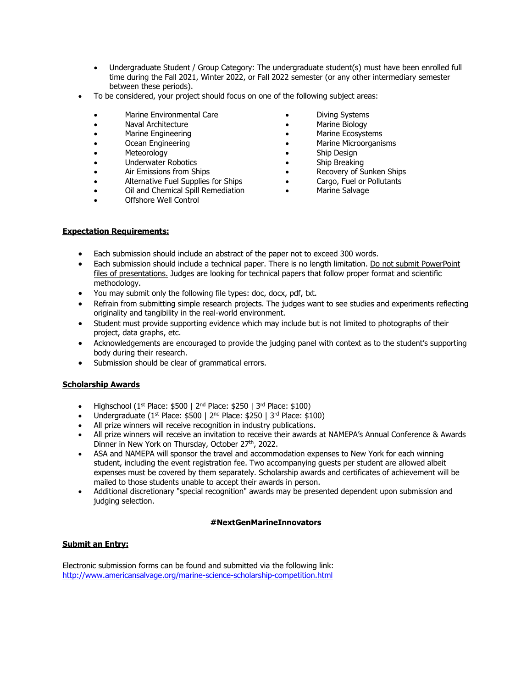- Undergraduate Student / Group Category: The undergraduate student(s) must have been enrolled full time during the Fall 2021, Winter 2022, or Fall 2022 semester (or any other intermediary semester between these periods).
- To be considered, your project should focus on one of the following subject areas:
	- Marine Environmental Care
	- Naval Architecture
	- Marine Engineering
	- Ocean Engineering
	- **Meteorology**
	- Underwater Robotics
	- Air Emissions from Ships
	- Alternative Fuel Supplies for Ships
	- Oil and Chemical Spill Remediation
	- Offshore Well Control
- Diving Systems
- Marine Biology
- Marine Ecosystems
- Marine Microorganisms
- Ship Design
- Ship Breaking
- Recovery of Sunken Ships
- Cargo, Fuel or Pollutants
- Marine Salvage

#### **Expectation Requirements:**

- Each submission should include an abstract of the paper not to exceed 300 words.
- Each submission should include a technical paper. There is no length limitation. Do not submit PowerPoint files of presentations. Judges are looking for technical papers that follow proper format and scientific methodology.
- You may submit only the following file types: doc, docx, pdf, txt.
- Refrain from submitting simple research projects. The judges want to see studies and experiments reflecting originality and tangibility in the real-world environment.
- Student must provide supporting evidence which may include but is not limited to photographs of their project, data graphs, etc.
- Acknowledgements are encouraged to provide the judging panel with context as to the student's supporting body during their research.
- Submission should be clear of grammatical errors.

# **Scholarship Awards**

- Highschool (1st Place: \$500 | 2nd Place: \$250 | 3rd Place: \$100)
- Undergraduate (1<sup>st</sup> Place: \$500 | 2<sup>nd</sup> Place: \$250 | 3<sup>rd</sup> Place: \$100)
- All prize winners will receive recognition in industry publications.
- All prize winners will receive an invitation to receive their awards at NAMEPA's Annual Conference & Awards Dinner in New York on Thursday, October 27<sup>th</sup>, 2022.
- ASA and NAMEPA will sponsor the travel and accommodation expenses to New York for each winning student, including the event registration fee. Two accompanying guests per student are allowed albeit expenses must be covered by them separately. Scholarship awards and certificates of achievement will be mailed to those students unable to accept their awards in person.
- Additional discretionary "special recognition" awards may be presented dependent upon submission and judging selection.

#### **#NextGenMarineInnovators**

# **Submit an Entry:**

Electronic submission forms can be found and submitted via the following link: <http://www.americansalvage.org/marine-science-scholarship-competition.html>